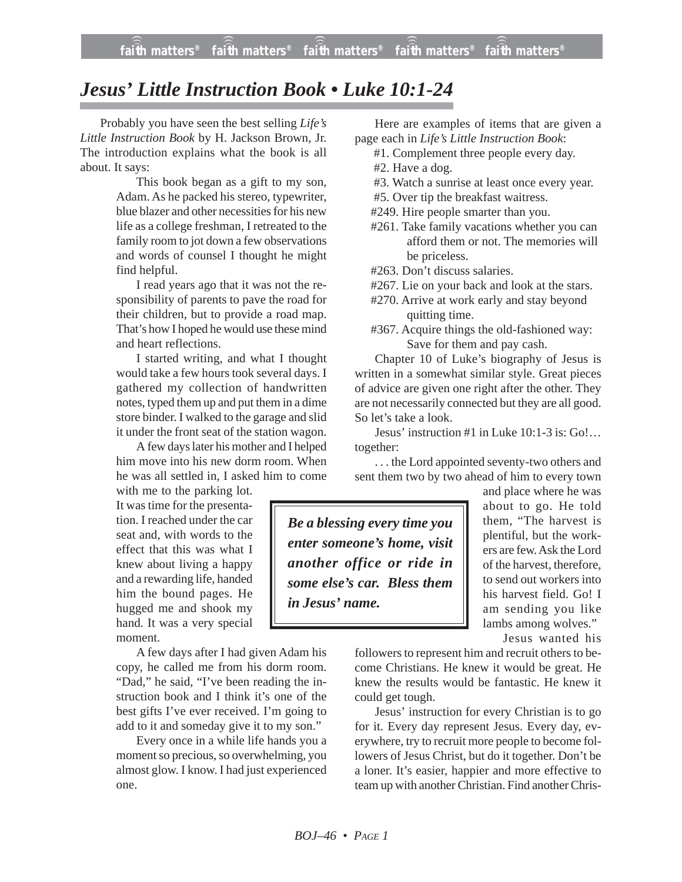## *Jesus' Little Instruction Book • Luke 10:1-24*

Probably you have seen the best selling *Life's Little Instruction Book* by H. Jackson Brown, Jr. The introduction explains what the book is all about. It says:

> This book began as a gift to my son, Adam. As he packed his stereo, typewriter, blue blazer and other necessities for his new life as a college freshman, I retreated to the family room to jot down a few observations and words of counsel I thought he might find helpful.

> I read years ago that it was not the responsibility of parents to pave the road for their children, but to provide a road map. That's how I hoped he would use these mind and heart reflections.

> I started writing, and what I thought would take a few hours took several days. I gathered my collection of handwritten notes, typed them up and put them in a dime store binder. I walked to the garage and slid it under the front seat of the station wagon.

> A few days later his mother and I helped him move into his new dorm room. When he was all settled in, I asked him to come

with me to the parking lot. It was time for the presentation. I reached under the car seat and, with words to the effect that this was what I knew about living a happy and a rewarding life, handed him the bound pages. He hugged me and shook my hand. It was a very special moment.

A few days after I had given Adam his copy, he called me from his dorm room. "Dad," he said, "I've been reading the instruction book and I think it's one of the best gifts I've ever received. I'm going to add to it and someday give it to my son."

Every once in a while life hands you a moment so precious, so overwhelming, you almost glow. I know. I had just experienced one.

Here are examples of items that are given a page each in *Life's Little Instruction Book*:

- #1. Complement three people every day. #2. Have a dog.
- #3. Watch a sunrise at least once every year.
- #5. Over tip the breakfast waitress.
- #249. Hire people smarter than you.
- #261. Take family vacations whether you can afford them or not. The memories will be priceless.
- #263. Don't discuss salaries.
- #267. Lie on your back and look at the stars.
- #270. Arrive at work early and stay beyond quitting time.
- #367. Acquire things the old-fashioned way: Save for them and pay cash.

Chapter 10 of Luke's biography of Jesus is written in a somewhat similar style. Great pieces of advice are given one right after the other. They are not necessarily connected but they are all good. So let's take a look.

Jesus' instruction #1 in Luke 10:1-3 is: Go!… together:

. . . the Lord appointed seventy-two others and sent them two by two ahead of him to every town

*Be a blessing every time you enter someone's home, visit another office or ride in some else's car. Bless them in Jesus' name.*

and place where he was about to go. He told them, "The harvest is plentiful, but the workers are few. Ask the Lord of the harvest, therefore, to send out workers into his harvest field. Go! I am sending you like lambs among wolves."

Jesus wanted his

followers to represent him and recruit others to become Christians. He knew it would be great. He knew the results would be fantastic. He knew it could get tough.

Jesus' instruction for every Christian is to go for it. Every day represent Jesus. Every day, everywhere, try to recruit more people to become followers of Jesus Christ, but do it together. Don't be a loner. It's easier, happier and more effective to team up with another Christian. Find another Chris-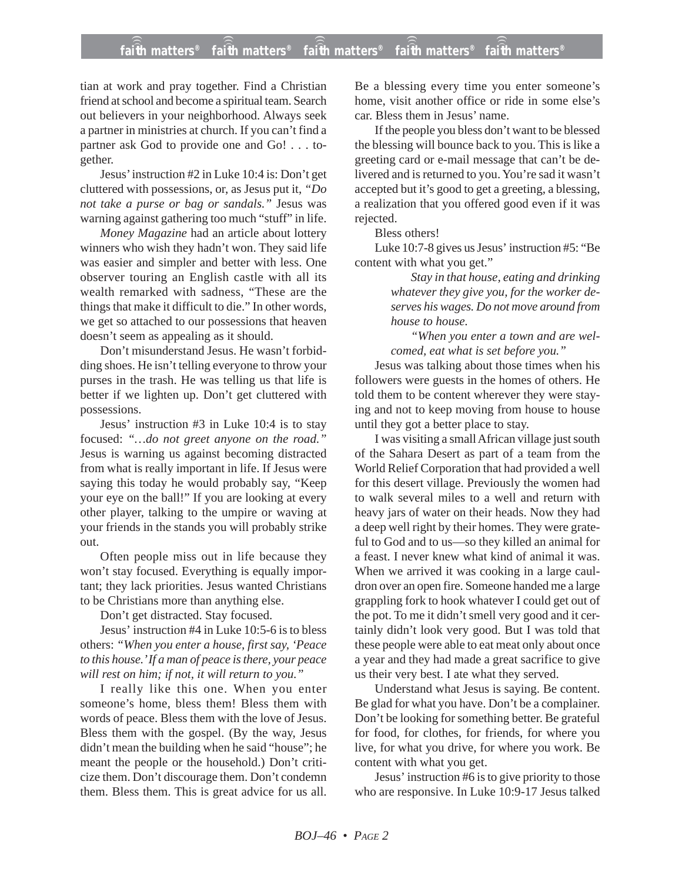## **faith matters® faith matters® faith matters® faith matters® faith matters®** ))) ))) ))) ))) )))

tian at work and pray together. Find a Christian friend at school and become a spiritual team. Search out believers in your neighborhood. Always seek a partner in ministries at church. If you can't find a partner ask God to provide one and Go! . . . together.

Jesus' instruction #2 in Luke 10:4 is: Don't get cluttered with possessions, or, as Jesus put it, *"Do not take a purse or bag or sandals."* Jesus was warning against gathering too much "stuff" in life.

*Money Magazine* had an article about lottery winners who wish they hadn't won. They said life was easier and simpler and better with less. One observer touring an English castle with all its wealth remarked with sadness, "These are the things that make it difficult to die." In other words, we get so attached to our possessions that heaven doesn't seem as appealing as it should.

Don't misunderstand Jesus. He wasn't forbidding shoes. He isn't telling everyone to throw your purses in the trash. He was telling us that life is better if we lighten up. Don't get cluttered with possessions.

Jesus' instruction #3 in Luke 10:4 is to stay focused: *"…do not greet anyone on the road."* Jesus is warning us against becoming distracted from what is really important in life. If Jesus were saying this today he would probably say, "Keep your eye on the ball!" If you are looking at every other player, talking to the umpire or waving at your friends in the stands you will probably strike out.

Often people miss out in life because they won't stay focused. Everything is equally important; they lack priorities. Jesus wanted Christians to be Christians more than anything else.

Don't get distracted. Stay focused.

Jesus' instruction #4 in Luke 10:5-6 is to bless others: *"When you enter a house, first say, 'Peace to this house.' If a man of peace is there, your peace will rest on him; if not, it will return to you."*

I really like this one. When you enter someone's home, bless them! Bless them with words of peace. Bless them with the love of Jesus. Bless them with the gospel. (By the way, Jesus didn't mean the building when he said "house"; he meant the people or the household.) Don't criticize them. Don't discourage them. Don't condemn them. Bless them. This is great advice for us all. Be a blessing every time you enter someone's home, visit another office or ride in some else's car. Bless them in Jesus' name.

If the people you bless don't want to be blessed the blessing will bounce back to you. This is like a greeting card or e-mail message that can't be delivered and is returned to you. You're sad it wasn't accepted but it's good to get a greeting, a blessing, a realization that you offered good even if it was rejected.

Bless others!

Luke 10:7-8 gives us Jesus' instruction #5: "Be content with what you get."

> *Stay in that house, eating and drinking whatever they give you, for the worker deserves his wages. Do not move around from house to house.*

*"When you enter a town and are welcomed, eat what is set before you."*

Jesus was talking about those times when his followers were guests in the homes of others. He told them to be content wherever they were staying and not to keep moving from house to house until they got a better place to stay.

I was visiting a small African village just south of the Sahara Desert as part of a team from the World Relief Corporation that had provided a well for this desert village. Previously the women had to walk several miles to a well and return with heavy jars of water on their heads. Now they had a deep well right by their homes. They were grateful to God and to us—so they killed an animal for a feast. I never knew what kind of animal it was. When we arrived it was cooking in a large cauldron over an open fire. Someone handed me a large grappling fork to hook whatever I could get out of the pot. To me it didn't smell very good and it certainly didn't look very good. But I was told that these people were able to eat meat only about once a year and they had made a great sacrifice to give us their very best. I ate what they served.

Understand what Jesus is saying. Be content. Be glad for what you have. Don't be a complainer. Don't be looking for something better. Be grateful for food, for clothes, for friends, for where you live, for what you drive, for where you work. Be content with what you get.

Jesus' instruction #6 is to give priority to those who are responsive. In Luke 10:9-17 Jesus talked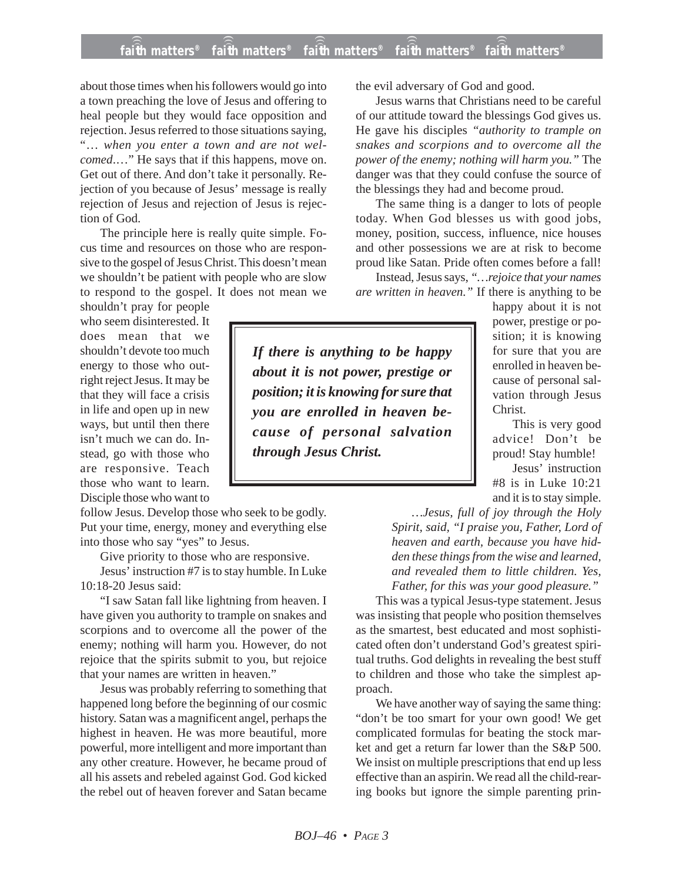## **faith matters® faith matters® faith matters® faith matters® faith matters®** ))) ))) ))) ))) )))

about those times when his followers would go into a town preaching the love of Jesus and offering to heal people but they would face opposition and rejection. Jesus referred to those situations saying, "… *when you enter a town and are not welcomed*.…" He says that if this happens, move on. Get out of there. And don't take it personally. Rejection of you because of Jesus' message is really rejection of Jesus and rejection of Jesus is rejection of God.

The principle here is really quite simple. Focus time and resources on those who are responsive to the gospel of Jesus Christ. This doesn't mean we shouldn't be patient with people who are slow to respond to the gospel. It does not mean we

shouldn't pray for people who seem disinterested. It does mean that we shouldn't devote too much energy to those who outright reject Jesus. It may be that they will face a crisis in life and open up in new ways, but until then there isn't much we can do. Instead, go with those who are responsive. Teach those who want to learn. Disciple those who want to

follow Jesus. Develop those who seek to be godly. Put your time, energy, money and everything else into those who say "yes" to Jesus.

Give priority to those who are responsive.

Jesus' instruction #7 is to stay humble. In Luke 10:18-20 Jesus said:

"I saw Satan fall like lightning from heaven. I have given you authority to trample on snakes and scorpions and to overcome all the power of the enemy; nothing will harm you. However, do not rejoice that the spirits submit to you, but rejoice that your names are written in heaven."

Jesus was probably referring to something that happened long before the beginning of our cosmic history. Satan was a magnificent angel, perhaps the highest in heaven. He was more beautiful, more powerful, more intelligent and more important than any other creature. However, he became proud of all his assets and rebeled against God. God kicked the rebel out of heaven forever and Satan became

the evil adversary of God and good.

Jesus warns that Christians need to be careful of our attitude toward the blessings God gives us. He gave his disciples *"authority to trample on snakes and scorpions and to overcome all the power of the enemy; nothing will harm you."* The danger was that they could confuse the source of the blessings they had and become proud.

The same thing is a danger to lots of people today. When God blesses us with good jobs, money, position, success, influence, nice houses and other possessions we are at risk to become proud like Satan. Pride often comes before a fall!

Instead, Jesus says, *"…rejoice that your names are written in heaven."* If there is anything to be

*If there is anything to be happy about it is not power, prestige or position; it is knowing for sure that you are enrolled in heaven because of personal salvation through Jesus Christ.*

happy about it is not power, prestige or position; it is knowing for sure that you are enrolled in heaven because of personal salvation through Jesus Christ.

This is very good advice! Don't be proud! Stay humble! Jesus' instruction #8 is in Luke 10:21 and it is to stay simple.

*…Jesus, full of joy through the Holy Spirit, said, "I praise you, Father, Lord of heaven and earth, because you have hidden these things from the wise and learned, and revealed them to little children. Yes, Father, for this was your good pleasure."*

This was a typical Jesus-type statement. Jesus was insisting that people who position themselves as the smartest, best educated and most sophisticated often don't understand God's greatest spiritual truths. God delights in revealing the best stuff to children and those who take the simplest approach.

We have another way of saying the same thing: "don't be too smart for your own good! We get complicated formulas for beating the stock market and get a return far lower than the S&P 500. We insist on multiple prescriptions that end up less effective than an aspirin. We read all the child-rearing books but ignore the simple parenting prin-